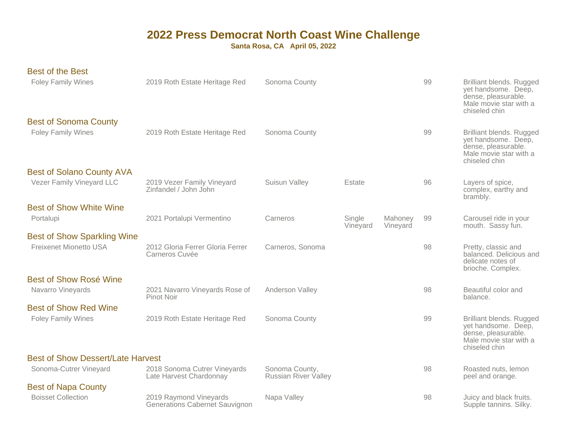| <b>Best of the Best</b>                                             |                                                                 |                                               |                    |                     |    |                                                                                                                          |
|---------------------------------------------------------------------|-----------------------------------------------------------------|-----------------------------------------------|--------------------|---------------------|----|--------------------------------------------------------------------------------------------------------------------------|
| <b>Foley Family Wines</b>                                           | 2019 Roth Estate Heritage Red                                   | Sonoma County                                 |                    |                     | 99 | <b>Brilliant blends. Rugged</b><br>yet handsome. Deep,<br>dense, pleasurable.<br>Male movie star with a<br>chiseled chin |
| <b>Best of Sonoma County</b><br><b>Foley Family Wines</b>           | 2019 Roth Estate Heritage Red                                   | Sonoma County                                 |                    |                     | 99 | <b>Brilliant blends. Rugged</b><br>yet handsome. Deep,<br>dense, pleasurable.<br>Male movie star with a<br>chiseled chin |
| <b>Best of Solano County AVA</b><br>Vezer Family Vineyard LLC       | 2019 Vezer Family Vineyard<br>Zinfandel / John John             | Suisun Valley                                 | Estate             |                     | 96 | Layers of spice,<br>complex, earthy and<br>brambly.                                                                      |
| <b>Best of Show White Wine</b><br>Portalupi                         | 2021 Portalupi Vermentino                                       | Carneros                                      | Single<br>Vineyard | Mahoney<br>Vineyard | 99 | Carousel ride in your<br>mouth. Sassy fun.                                                                               |
| <b>Best of Show Sparkling Wine</b><br><b>Freixenet Mionetto USA</b> | 2012 Gloria Ferrer Gloria Ferrer<br>Carneros Cuvée              | Carneros, Sonoma                              |                    |                     | 98 | Pretty, classic and<br>balanced. Delicious and<br>delicate notes of<br>brioche. Complex.                                 |
| <b>Best of Show Rosé Wine</b><br>Navarro Vineyards                  | 2021 Navarro Vineyards Rose of<br>Pinot Noir                    | Anderson Valley                               |                    |                     | 98 | Beautiful color and<br>balance.                                                                                          |
| <b>Best of Show Red Wine</b>                                        |                                                                 |                                               |                    |                     |    |                                                                                                                          |
| <b>Foley Family Wines</b>                                           | 2019 Roth Estate Heritage Red                                   | Sonoma County                                 |                    |                     | 99 | Brilliant blends. Rugged<br>yet handsome. Deep,<br>dense, pleasurable.<br>Male movie star with a<br>chiseled chin        |
| <b>Best of Show Dessert/Late Harvest</b>                            |                                                                 |                                               |                    |                     |    |                                                                                                                          |
| Sonoma-Cutrer Vineyard                                              | 2018 Sonoma Cutrer Vineyards<br>Late Harvest Chardonnay         | Sonoma County,<br><b>Russian River Valley</b> |                    |                     | 98 | Roasted nuts, lemon<br>peel and orange.                                                                                  |
| <b>Best of Napa County</b>                                          |                                                                 |                                               |                    |                     |    |                                                                                                                          |
| <b>Boisset Collection</b>                                           | 2019 Raymond Vineyards<br><b>Generations Cabernet Sauvignon</b> | Napa Valley                                   |                    |                     | 98 | Juicy and black fruits.<br>Supple tannins. Silky.                                                                        |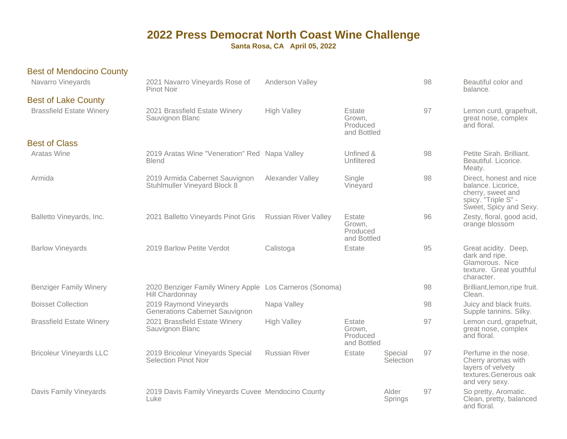| <b>Best of Mendocino County</b> |                                                                            |                             |                                             |                      |    |                                                                                                                     |
|---------------------------------|----------------------------------------------------------------------------|-----------------------------|---------------------------------------------|----------------------|----|---------------------------------------------------------------------------------------------------------------------|
| Navarro Vineyards               | 2021 Navarro Vineyards Rose of<br>Pinot Noir                               | Anderson Valley             |                                             |                      | 98 | Beautiful color and<br>balance.                                                                                     |
| <b>Best of Lake County</b>      |                                                                            |                             |                                             |                      |    |                                                                                                                     |
| <b>Brassfield Estate Winery</b> | 2021 Brassfield Estate Winery<br>Sauvignon Blanc                           | <b>High Valley</b>          | Estate<br>Grown,<br>Produced<br>and Bottled |                      | 97 | Lemon curd, grapefruit,<br>great nose, complex<br>and floral.                                                       |
| <b>Best of Class</b>            |                                                                            |                             |                                             |                      |    |                                                                                                                     |
| Aratas Wine                     | 2019 Aratas Wine "Veneration" Red Napa Valley<br><b>Blend</b>              |                             | Unfined &<br>Unfiltered                     |                      | 98 | Petite Sirah. Brilliant.<br>Beautiful. Licorice.<br>Meaty.                                                          |
| Armida                          | 2019 Armida Cabernet Sauvignon<br>Stuhlmuller Vineyard Block 8             | Alexander Valley            | Single<br>Vineyard                          |                      | 98 | Direct, honest and nice<br>balance. Licorice,<br>cherry, sweet and<br>spicy. "Triple S" -<br>Sweet, Spicy and Sexy. |
| Balletto Vineyards, Inc.        | 2021 Balletto Vineyards Pinot Gris                                         | <b>Russian River Valley</b> | Estate<br>Grown,<br>Produced<br>and Bottled |                      | 96 | Zesty, floral, good acid,<br>orange blossom                                                                         |
| <b>Barlow Vineyards</b>         | 2019 Barlow Petite Verdot                                                  | Calistoga                   | Estate                                      |                      | 95 | Great acidity. Deep,<br>dark and ripe.<br>Glamorous. Nice<br>texture. Great youthful<br>character.                  |
| <b>Benziger Family Winery</b>   | 2020 Benziger Family Winery Apple Los Carneros (Sonoma)<br>Hill Chardonnay |                             |                                             |                      | 98 | Brilliant, lemon, ripe fruit.<br>Clean.                                                                             |
| <b>Boisset Collection</b>       | 2019 Raymond Vineyards<br><b>Generations Cabernet Sauvignon</b>            | Napa Valley                 |                                             |                      | 98 | Juicy and black fruits.<br>Supple tannins. Silky.                                                                   |
| <b>Brassfield Estate Winery</b> | 2021 Brassfield Estate Winery<br>Sauvignon Blanc                           | <b>High Valley</b>          | Estate<br>Grown,<br>Produced<br>and Bottled |                      | 97 | Lemon curd, grapefruit,<br>great nose, complex<br>and floral.                                                       |
| <b>Bricoleur Vineyards LLC</b>  | 2019 Bricoleur Vineyards Special<br>Selection Pinot Noir                   | <b>Russian River</b>        | Estate                                      | Special<br>Selection | 97 | Perfume in the nose.<br>Cherry aromas with<br>layers of velvety<br>textures.Generous oak<br>and very sexy.          |
| Davis Family Vineyards          | 2019 Davis Family Vineyards Cuvee Mendocino County<br>Luke                 |                             |                                             | Alder<br>Springs     | 97 | So pretty, Aromatic.<br>Clean, pretty, balanced<br>and floral.                                                      |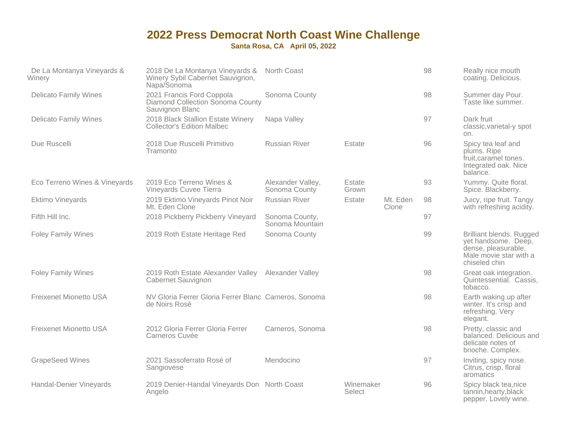| De La Montanya Vineyards &<br>Winery | 2018 De La Montanya Vineyards &<br>Winery Sybil Cabernet Sauvignon,<br>Napa/Sonoma | North Coast                        |                     |                   | 98 | Really nice mouth<br>coating. Delicious.                                                                                 |
|--------------------------------------|------------------------------------------------------------------------------------|------------------------------------|---------------------|-------------------|----|--------------------------------------------------------------------------------------------------------------------------|
| <b>Delicato Family Wines</b>         | 2021 Francis Ford Coppola<br>Diamond Collection Sonoma County<br>Sauvignon Blanc   | Sonoma County                      |                     |                   | 98 | Summer day Pour.<br>Taste like summer.                                                                                   |
| <b>Delicato Family Wines</b>         | 2018 Black Stallion Estate Winery<br><b>Collector's Edition Malbec</b>             | Napa Valley                        |                     |                   | 97 | Dark fruit<br>classic, varietal-y spot<br>on.                                                                            |
| Due Ruscelli                         | 2018 Due Ruscelli Primitivo<br>Tramonto                                            | <b>Russian River</b>               | Estate              |                   | 96 | Spicy tea leaf and<br>plums. Ripe<br>fruit, caramel tones.<br>Integrated oak. Nice<br>balance.                           |
| Eco Terreno Wines & Vineyards        | 2019 Eco Terreno Wines &<br>Vineyards Cuvee Tierra                                 | Alexander Valley,<br>Sonoma County | Estate<br>Grown     |                   | 93 | Yummy. Quite floral.<br>Spice. Blackberry.                                                                               |
| Ektimo Vineyards                     | 2019 Ektimo Vineyards Pinot Noir<br>Mt. Eden Clone                                 | <b>Russian River</b>               | Estate              | Mt. Eden<br>Clone | 98 | Juicy, ripe fruit. Tangy<br>with refreshing acidity.                                                                     |
| Fifth Hill Inc.                      | 2018 Pickberry Pickberry Vineyard                                                  | Sonoma County,<br>Sonoma Mountain  |                     |                   | 97 |                                                                                                                          |
| <b>Foley Family Wines</b>            | 2019 Roth Estate Heritage Red                                                      | Sonoma County                      |                     |                   | 99 | <b>Brilliant blends. Rugged</b><br>yet handsome. Deep,<br>dense, pleasurable.<br>Male movie star with a<br>chiseled chin |
| <b>Foley Family Wines</b>            | 2019 Roth Estate Alexander Valley Alexander Valley<br>Cabernet Sauvignon           |                                    |                     |                   | 98 | Great oak integration.<br>Quintessential. Cassis,<br>tobacco.                                                            |
| <b>Freixenet Mionetto USA</b>        | NV Gloria Ferrer Gloria Ferrer Blanc Carneros, Sonoma<br>de Noirs Rosé             |                                    |                     |                   | 98 | Earth waking up after<br>winter. It's crisp and<br>refreshing. Very<br>elegant.                                          |
| <b>Freixenet Mionetto USA</b>        | 2012 Gloria Ferrer Gloria Ferrer<br>Carneros Cuvée                                 | Carneros, Sonoma                   |                     |                   | 98 | Pretty, classic and<br>balanced. Delicious and<br>delicate notes of<br>brioche. Complex.                                 |
| <b>GrapeSeed Wines</b>               | 2021 Sassoferrato Rosé of<br>Sangiovese                                            | Mendocino                          |                     |                   | 97 | Inviting, spicy nose.<br>Citrus, crisp, floral<br>aromatics                                                              |
| Handal-Denier Vineyards              | 2019 Denier-Handal Vineyards Don North Coast<br>Angelo                             |                                    | Winemaker<br>Select |                   | 96 | Spicy black tea, nice<br>tannin, hearty, black<br>pepper. Lovely wine.                                                   |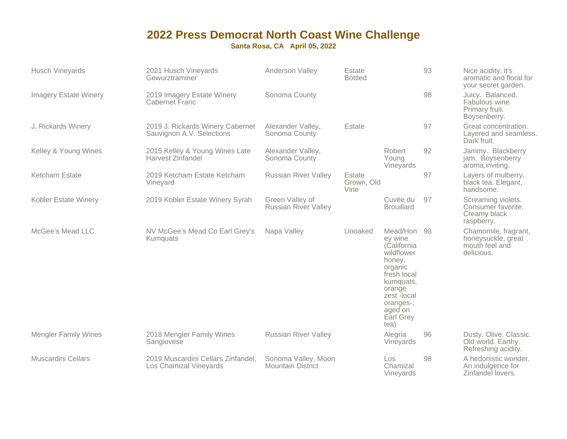| <b>Husch Vineyards</b>       | 2021 Husch Vineyards<br>Gewurztraminer                        | Anderson Valley                                 | Estate<br><b>Bottled</b>     |                                                                                                                                                                            | 93 | Nice acidity, it's<br>aromatic and floral for<br>your secret garden.       |
|------------------------------|---------------------------------------------------------------|-------------------------------------------------|------------------------------|----------------------------------------------------------------------------------------------------------------------------------------------------------------------------|----|----------------------------------------------------------------------------|
| <b>Imagery Estate Winery</b> | 2019 Imagery Estate Winery<br>Cabernet Franc                  | Sonoma County                                   |                              |                                                                                                                                                                            | 98 | Juicy. Balanced.<br>Fabulous wine.<br>Primary fruit.<br>Boysenberry.       |
| J. Rickards Winery           | 2019 J. Rickards Winery Cabernet<br>Sauvignon A.V. Selections | Alexander Valley,<br>Sonoma County              | Estate                       |                                                                                                                                                                            | 97 | Great concentration.<br>Layered and seamless.<br>Dark fruit.               |
| Kelley & Young Wines         | 2015 Kelley & Young Wines Late<br>Harvest Zinfandel           | Alexander Valley,<br>Sonoma County              |                              | Robert<br>Young<br>Vineyards                                                                                                                                               | 92 | Jammy. Blackberry<br>jam. Boysenberry<br>aroma, inviting.                  |
| Ketcham Estate               | 2019 Ketcham Estate Ketcham<br>Vineyard                       | <b>Russian River Valley</b>                     | Estate<br>Grown, Old<br>Vine |                                                                                                                                                                            | 97 | Layers of mulberry,<br>black tea. Elegant,<br>handsome.                    |
| Kobler Estate Winery         | 2019 Kobler Estate Winery Syrah                               | Green Valley of<br><b>Russian River Valley</b>  |                              | Cuvée du<br><b>Brouillard</b>                                                                                                                                              | 97 | Screaming violets.<br>Consumer favorite.<br>Creamy black<br>raspberry.     |
| McGee's Mead LLC             | NV McGee's Mead Co Earl Grey's<br>Kumquats                    | Napa Valley                                     | Unoaked                      | Mead/Hon 98<br>ey wine<br>(California<br>wildflower<br>honey,<br>organic<br>fresh local<br>kumquats,<br>orange<br>zest -local<br>oranges-,<br>aged on<br>Earl Grey<br>tea) |    | Chamomile, fragrant,<br>honeysuckle, great<br>mouth feel and<br>delicious. |
| <b>Mengler Family Wines</b>  | 2018 Mengler Family Wines<br>Sangiovese                       | <b>Russian River Valley</b>                     |                              | Alegria<br>Vineyards                                                                                                                                                       | 96 | Dusty. Olive. Classic.<br>Old world. Earthy.<br>Refreshing acidity.        |
| <b>Muscardini Cellars</b>    | 2019 Muscardini Cellars Zinfandel,<br>Los Chamizal Vineyards  | Sonoma Valley, Moon<br><b>Mountain District</b> |                              | Los.<br>Chamizal<br>Vineyards                                                                                                                                              | 98 | A hedonistic wonder.<br>An indulgence for<br>Zinfandel lovers.             |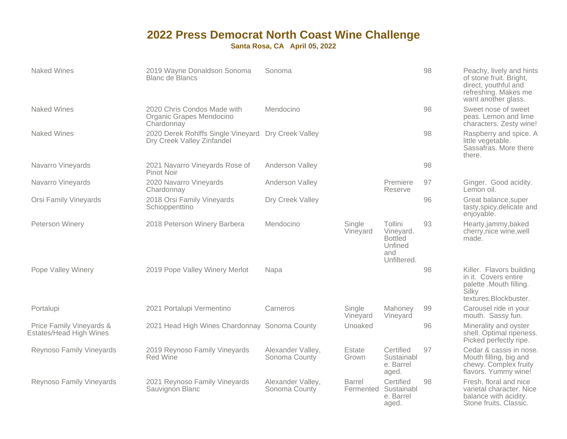| <b>Naked Wines</b>                                  | 2019 Wayne Donaldson Sonoma<br><b>Blanc de Blancs</b>                             | Sonoma                             |                    |                                                                         | 98 | Peachy, lively and hints<br>of stone fruit. Bright,<br>direct, youthful and<br>refreshing. Makes me<br>want another glass. |
|-----------------------------------------------------|-----------------------------------------------------------------------------------|------------------------------------|--------------------|-------------------------------------------------------------------------|----|----------------------------------------------------------------------------------------------------------------------------|
| <b>Naked Wines</b>                                  | 2020 Chris Condos Made with<br>Organic Grapes Mendocino<br>Chardonnay             | Mendocino                          |                    |                                                                         | 98 | Sweet nose of sweet<br>peas. Lemon and lime<br>characters. Zesty wine!                                                     |
| <b>Naked Wines</b>                                  | 2020 Derek Rohlffs Single Vineyard Dry Creek Valley<br>Dry Creek Valley Zinfandel |                                    |                    |                                                                         | 98 | Raspberry and spice. A<br>little vegetable.<br>Sassafras, More there<br>there.                                             |
| Navarro Vineyards                                   | 2021 Navarro Vineyards Rose of<br>Pinot Noir                                      | Anderson Valley                    |                    |                                                                         | 98 |                                                                                                                            |
| Navarro Vineyards                                   | 2020 Navarro Vineyards<br>Chardonnay                                              | Anderson Valley                    |                    | Premiere<br>Reserve                                                     | 97 | Ginger. Good acidity.<br>Lemon oil.                                                                                        |
| <b>Orsi Family Vineyards</b>                        | 2018 Orsi Family Vineyards<br>Schioppenttino                                      | Dry Creek Valley                   |                    |                                                                         | 96 | Great balance, super<br>tasty, spicy, delicate and<br>enjoyable.                                                           |
| Peterson Winery                                     | 2018 Peterson Winery Barbera                                                      | Mendocino                          | Single<br>Vineyard | Tollini<br>Vineyard.<br><b>Bottled</b><br>Unfined<br>and<br>Unfiltered. | 93 | Hearty,jammy,baked<br>cherry, nice wine, well<br>made.                                                                     |
| Pope Valley Winery                                  | 2019 Pope Valley Winery Merlot                                                    | Napa                               |                    |                                                                         | 98 | Killer. Flavors building<br>in it. Covers entire<br>palette .Mouth filling.<br>Silky<br>textures.Blockbuster.              |
| Portalupi                                           | 2021 Portalupi Vermentino                                                         | Carneros                           | Single<br>Vineyard | Mahoney<br>Vineyard                                                     | 99 | Carousel ride in your<br>mouth. Sassy fun.                                                                                 |
| Price Family Vineyards &<br>Estates/Head High Wines | 2021 Head High Wines Chardonnay Sonoma County                                     |                                    | Unoaked            |                                                                         | 96 | Minerality and oyster<br>shell. Optimal ripeness.<br>Picked perfectly ripe.                                                |
| Reynoso Family Vineyards                            | 2019 Reynoso Family Vineyards<br><b>Red Wine</b>                                  | Alexander Valley,<br>Sonoma County | Estate<br>Grown    | Certified<br>Sustainabl<br>e. Barrel<br>aged.                           | 97 | Cedar & cassis in nose.<br>Mouth filling, big and<br>chewy. Complex fruity<br>flavors. Yummy wine!                         |
| Reynoso Family Vineyards                            | 2021 Reynoso Family Vineyards<br>Sauvignon Blanc                                  | Alexander Valley,<br>Sonoma County | <b>Barrel</b>      | Certified<br>Fermented Sustainabl<br>e. Barrel<br>aged.                 | 98 | Fresh, floral and nice<br>varietal character. Nice<br>balance with acidity.<br>Stone fruits. Classic.                      |